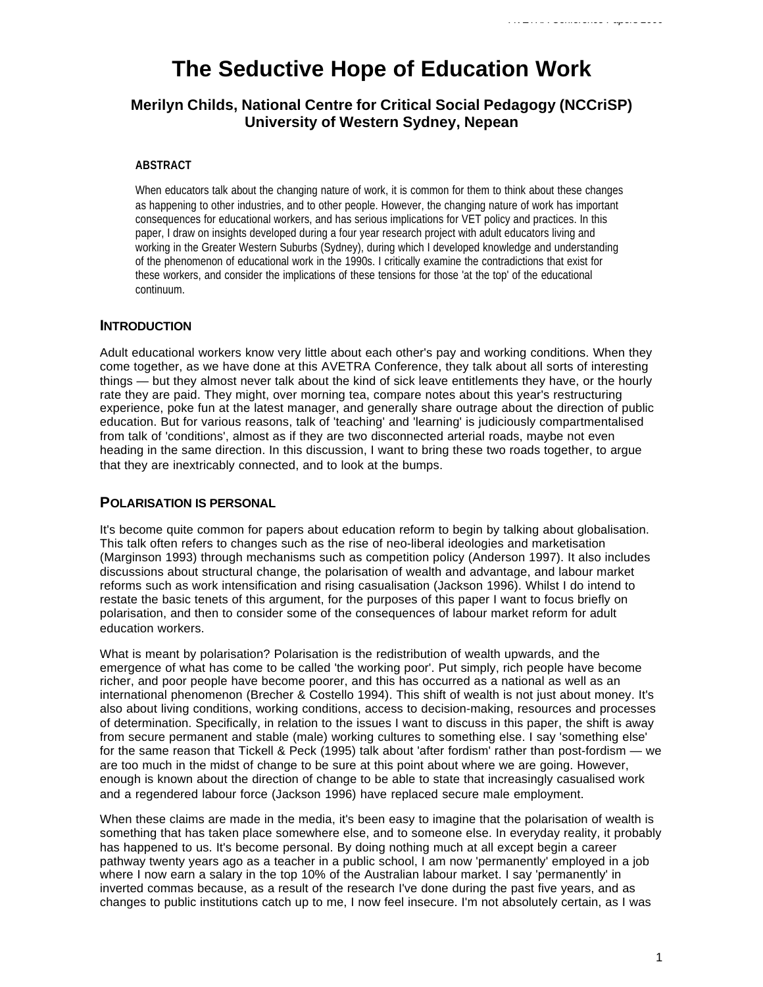# **The Seductive Hope of Education Work**

## **Merilyn Childs, National Centre for Critical Social Pedagogy (NCCriSP) University of Western Sydney, Nepean**

## **ABSTRACT**

When educators talk about the changing nature of work, it is common for them to think about these changes as happening to other industries, and to other people. However, the changing nature of work has important consequences for educational workers, and has serious implications for VET policy and practices. In this paper, I draw on insights developed during a four year research project with adult educators living and working in the Greater Western Suburbs (Sydney), during which I developed knowledge and understanding of the phenomenon of educational work in the 1990s. I critically examine the contradictions that exist for these workers, and consider the implications of these tensions for those 'at the top' of the educational continuum.

## **INTRODUCTION**

Adult educational workers know very little about each other's pay and working conditions. When they come together, as we have done at this AVETRA Conference, they talk about all sorts of interesting things — but they almost never talk about the kind of sick leave entitlements they have, or the hourly rate they are paid. They might, over morning tea, compare notes about this year's restructuring experience, poke fun at the latest manager, and generally share outrage about the direction of public education. But for various reasons, talk of 'teaching' and 'learning' is judiciously compartmentalised from talk of 'conditions', almost as if they are two disconnected arterial roads, maybe not even heading in the same direction. In this discussion, I want to bring these two roads together, to argue that they are inextricably connected, and to look at the bumps.

## **POLARISATION IS PERSONAL**

It's become quite common for papers about education reform to begin by talking about globalisation. This talk often refers to changes such as the rise of neo-liberal ideologies and marketisation (Marginson 1993) through mechanisms such as competition policy (Anderson 1997). It also includes discussions about structural change, the polarisation of wealth and advantage, and labour market reforms such as work intensification and rising casualisation (Jackson 1996). Whilst I do intend to restate the basic tenets of this argument, for the purposes of this paper I want to focus briefly on polarisation, and then to consider some of the consequences of labour market reform for adult education workers.

What is meant by polarisation? Polarisation is the redistribution of wealth upwards, and the emergence of what has come to be called 'the working poor'. Put simply, rich people have become richer, and poor people have become poorer, and this has occurred as a national as well as an international phenomenon (Brecher & Costello 1994). This shift of wealth is not just about money. It's also about living conditions, working conditions, access to decision-making, resources and processes of determination. Specifically, in relation to the issues I want to discuss in this paper, the shift is away from secure permanent and stable (male) working cultures to something else. I say 'something else' for the same reason that Tickell & Peck (1995) talk about 'after fordism' rather than post-fordism — we are too much in the midst of change to be sure at this point about where we are going. However, enough is known about the direction of change to be able to state that increasingly casualised work and a regendered labour force (Jackson 1996) have replaced secure male employment.

When these claims are made in the media, it's been easy to imagine that the polarisation of wealth is something that has taken place somewhere else, and to someone else. In everyday reality, it probably has happened to us. It's become personal. By doing nothing much at all except begin a career pathway twenty years ago as a teacher in a public school, I am now 'permanently' employed in a job where I now earn a salary in the top 10% of the Australian labour market. I say 'permanently' in inverted commas because, as a result of the research I've done during the past five years, and as changes to public institutions catch up to me, I now feel insecure. I'm not absolutely certain, as I was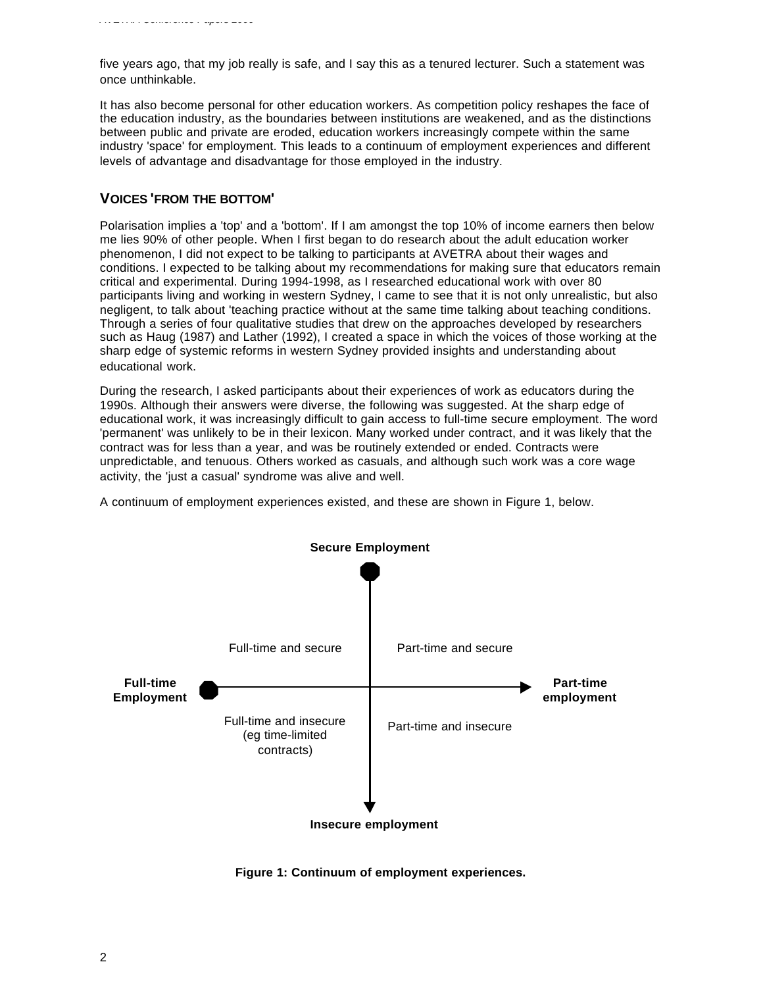five years ago, that my job really is safe, and I say this as a tenured lecturer. Such a statement was once unthinkable.

It has also become personal for other education workers. As competition policy reshapes the face of the education industry, as the boundaries between institutions are weakened, and as the distinctions between public and private are eroded, education workers increasingly compete within the same industry 'space' for employment. This leads to a continuum of employment experiences and different levels of advantage and disadvantage for those employed in the industry.

## **VOICES 'FROM THE BOTTOM'**

Polarisation implies a 'top' and a 'bottom'. If I am amongst the top 10% of income earners then below me lies 90% of other people. When I first began to do research about the adult education worker phenomenon, I did not expect to be talking to participants at AVETRA about their wages and conditions. I expected to be talking about my recommendations for making sure that educators remain critical and experimental. During 1994-1998, as I researched educational work with over 80 participants living and working in western Sydney, I came to see that it is not only unrealistic, but also negligent, to talk about 'teaching practice without at the same time talking about teaching conditions. Through a series of four qualitative studies that drew on the approaches developed by researchers such as Haug (1987) and Lather (1992), I created a space in which the voices of those working at the sharp edge of systemic reforms in western Sydney provided insights and understanding about educational work.

During the research, I asked participants about their experiences of work as educators during the 1990s. Although their answers were diverse, the following was suggested. At the sharp edge of educational work, it was increasingly difficult to gain access to full-time secure employment. The word 'permanent' was unlikely to be in their lexicon. Many worked under contract, and it was likely that the contract was for less than a year, and was be routinely extended or ended. Contracts were unpredictable, and tenuous. Others worked as casuals, and although such work was a core wage activity, the 'just a casual' syndrome was alive and well.

A continuum of employment experiences existed, and these are shown in Figure 1, below.



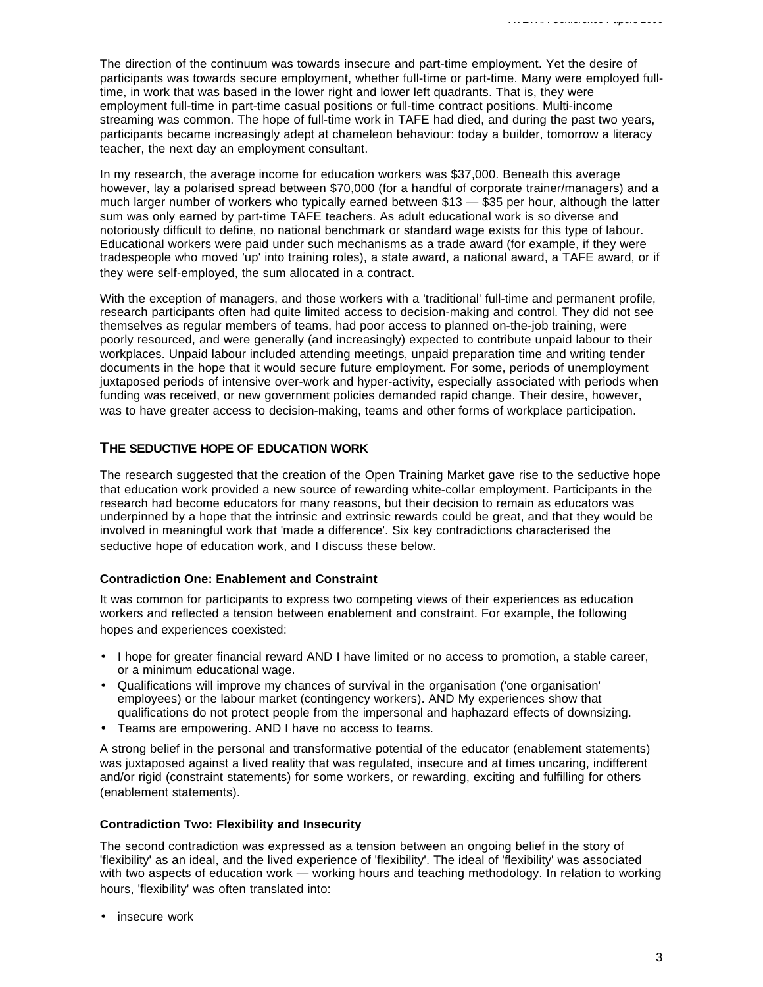The direction of the continuum was towards insecure and part-time employment. Yet the desire of participants was towards secure employment, whether full-time or part-time. Many were employed fulltime, in work that was based in the lower right and lower left quadrants. That is, they were employment full-time in part-time casual positions or full-time contract positions. Multi-income streaming was common. The hope of full-time work in TAFE had died, and during the past two years, participants became increasingly adept at chameleon behaviour: today a builder, tomorrow a literacy teacher, the next day an employment consultant.

In my research, the average income for education workers was \$37,000. Beneath this average however, lay a polarised spread between \$70,000 (for a handful of corporate trainer/managers) and a much larger number of workers who typically earned between \$13 — \$35 per hour, although the latter sum was only earned by part-time TAFE teachers. As adult educational work is so diverse and notoriously difficult to define, no national benchmark or standard wage exists for this type of labour. Educational workers were paid under such mechanisms as a trade award (for example, if they were tradespeople who moved 'up' into training roles), a state award, a national award, a TAFE award, or if they were self-employed, the sum allocated in a contract.

With the exception of managers, and those workers with a 'traditional' full-time and permanent profile, research participants often had quite limited access to decision-making and control. They did not see themselves as regular members of teams, had poor access to planned on-the-job training, were poorly resourced, and were generally (and increasingly) expected to contribute unpaid labour to their workplaces. Unpaid labour included attending meetings, unpaid preparation time and writing tender documents in the hope that it would secure future employment. For some, periods of unemployment juxtaposed periods of intensive over-work and hyper-activity, especially associated with periods when funding was received, or new government policies demanded rapid change. Their desire, however, was to have greater access to decision-making, teams and other forms of workplace participation.

## **THE SEDUCTIVE HOPE OF EDUCATION WORK**

The research suggested that the creation of the Open Training Market gave rise to the seductive hope that education work provided a new source of rewarding white-collar employment. Participants in the research had become educators for many reasons, but their decision to remain as educators was underpinned by a hope that the intrinsic and extrinsic rewards could be great, and that they would be involved in meaningful work that 'made a difference'. Six key contradictions characterised the seductive hope of education work, and I discuss these below.

#### **Contradiction One: Enablement and Constraint**

It was common for participants to express two competing views of their experiences as education workers and reflected a tension between enablement and constraint. For example, the following hopes and experiences coexisted:

- I hope for greater financial reward AND I have limited or no access to promotion, a stable career, or a minimum educational wage.
- Qualifications will improve my chances of survival in the organisation ('one organisation' employees) or the labour market (contingency workers). AND My experiences show that qualifications do not protect people from the impersonal and haphazard effects of downsizing.
- Teams are empowering. AND I have no access to teams.

A strong belief in the personal and transformative potential of the educator (enablement statements) was juxtaposed against a lived reality that was regulated, insecure and at times uncaring, indifferent and/or rigid (constraint statements) for some workers, or rewarding, exciting and fulfilling for others (enablement statements).

#### **Contradiction Two: Flexibility and Insecurity**

The second contradiction was expressed as a tension between an ongoing belief in the story of 'flexibility' as an ideal, and the lived experience of 'flexibility'. The ideal of 'flexibility' was associated with two aspects of education work — working hours and teaching methodology. In relation to working hours, 'flexibility' was often translated into:

• insecure work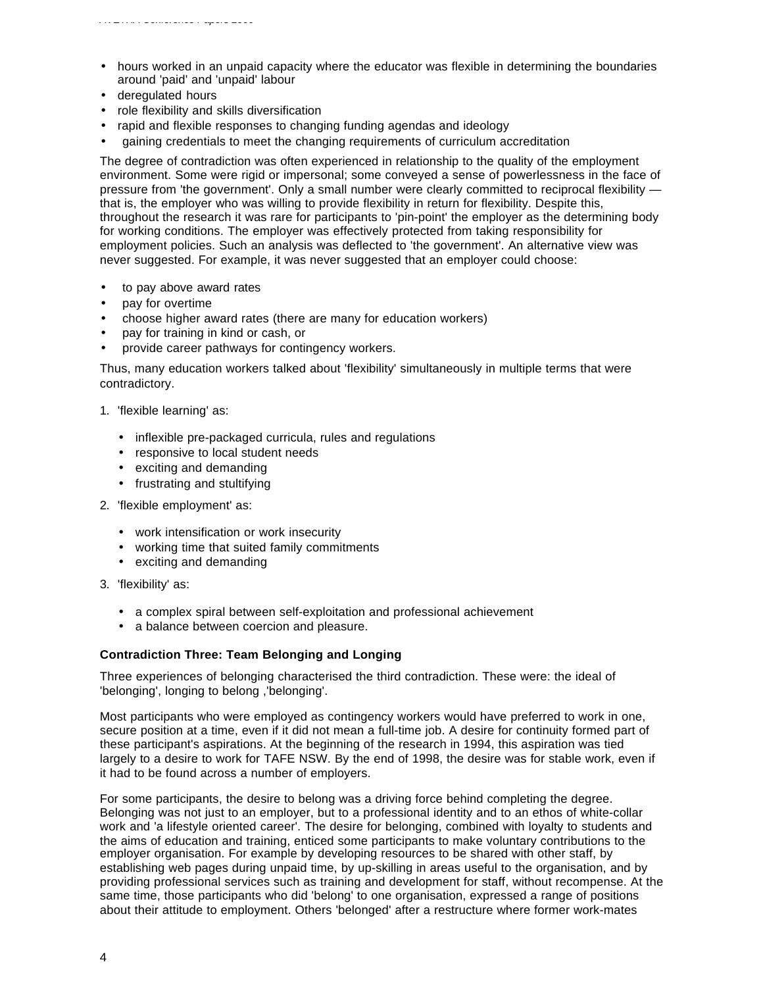- hours worked in an unpaid capacity where the educator was flexible in determining the boundaries around 'paid' and 'unpaid' labour
- deregulated hours
- role flexibility and skills diversification
- rapid and flexible responses to changing funding agendas and ideology
- gaining credentials to meet the changing requirements of curriculum accreditation

The degree of contradiction was often experienced in relationship to the quality of the employment environment. Some were rigid or impersonal; some conveyed a sense of powerlessness in the face of pressure from 'the government'. Only a small number were clearly committed to reciprocal flexibility that is, the employer who was willing to provide flexibility in return for flexibility. Despite this, throughout the research it was rare for participants to 'pin-point' the employer as the determining body for working conditions. The employer was effectively protected from taking responsibility for employment policies. Such an analysis was deflected to 'the government'. An alternative view was never suggested. For example, it was never suggested that an employer could choose:

- to pay above award rates
- pay for overtime
- choose higher award rates (there are many for education workers)
- pay for training in kind or cash, or
- provide career pathways for contingency workers.

Thus, many education workers talked about 'flexibility' simultaneously in multiple terms that were contradictory.

- 1. 'flexible learning' as:
	- inflexible pre-packaged curricula, rules and regulations
	- responsive to local student needs
	- exciting and demanding
	- frustrating and stultifying
- 2. 'flexible employment' as:
	- work intensification or work insecurity
	- working time that suited family commitments
	- exciting and demanding
- 3. 'flexibility' as:
	- a complex spiral between self-exploitation and professional achievement
	- a balance between coercion and pleasure.

#### **Contradiction Three: Team Belonging and Longing**

Three experiences of belonging characterised the third contradiction. These were: the ideal of 'belonging', longing to belong ,'belonging'.

Most participants who were employed as contingency workers would have preferred to work in one, secure position at a time, even if it did not mean a full-time job. A desire for continuity formed part of these participant's aspirations. At the beginning of the research in 1994, this aspiration was tied largely to a desire to work for TAFE NSW. By the end of 1998, the desire was for stable work, even if it had to be found across a number of employers.

For some participants, the desire to belong was a driving force behind completing the degree. Belonging was not just to an employer, but to a professional identity and to an ethos of white-collar work and 'a lifestyle oriented career'. The desire for belonging, combined with loyalty to students and the aims of education and training, enticed some participants to make voluntary contributions to the employer organisation. For example by developing resources to be shared with other staff, by establishing web pages during unpaid time, by up-skilling in areas useful to the organisation, and by providing professional services such as training and development for staff, without recompense. At the same time, those participants who did 'belong' to one organisation, expressed a range of positions about their attitude to employment. Others 'belonged' after a restructure where former work-mates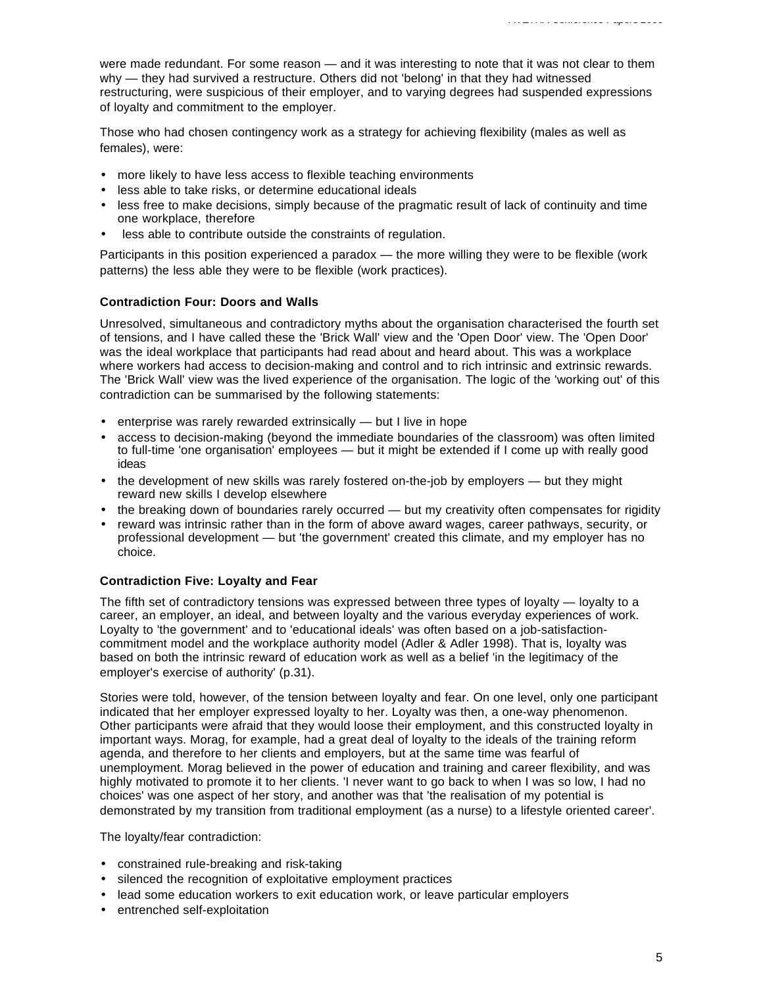were made redundant. For some reason — and it was interesting to note that it was not clear to them why — they had survived a restructure. Others did not 'belong' in that they had witnessed restructuring, were suspicious of their employer, and to varying degrees had suspended expressions of loyalty and commitment to the employer.

Those who had chosen contingency work as a strategy for achieving flexibility (males as well as females), were:

- more likely to have less access to flexible teaching environments
- less able to take risks, or determine educational ideals
- less free to make decisions, simply because of the pragmatic result of lack of continuity and time one workplace, therefore
- less able to contribute outside the constraints of regulation.

Participants in this position experienced a paradox — the more willing they were to be flexible (work patterns) the less able they were to be flexible (work practices).

#### **Contradiction Four: Doors and Walls**

Unresolved, simultaneous and contradictory myths about the organisation characterised the fourth set of tensions, and I have called these the 'Brick Wall' view and the 'Open Door' view. The 'Open Door' was the ideal workplace that participants had read about and heard about. This was a workplace where workers had access to decision-making and control and to rich intrinsic and extrinsic rewards. The 'Brick Wall' view was the lived experience of the organisation. The logic of the 'working out' of this contradiction can be summarised by the following statements:

- enterprise was rarely rewarded extrinsically but I live in hope
- access to decision-making (beyond the immediate boundaries of the classroom) was often limited to full-time 'one organisation' employees — but it might be extended if I come up with really good ideas
- the development of new skills was rarely fostered on-the-job by employers but they might reward new skills I develop elsewhere
- the breaking down of boundaries rarely occurred but my creativity often compensates for rigidity
- reward was intrinsic rather than in the form of above award wages, career pathways, security, or professional development — but 'the government' created this climate, and my employer has no choice.

#### **Contradiction Five: Loyalty and Fear**

The fifth set of contradictory tensions was expressed between three types of loyalty — loyalty to a career, an employer, an ideal, and between loyalty and the various everyday experiences of work. Loyalty to 'the government' and to 'educational ideals' was often based on a job-satisfactioncommitment model and the workplace authority model (Adler & Adler 1998). That is, loyalty was based on both the intrinsic reward of education work as well as a belief 'in the legitimacy of the employer's exercise of authority' (p.31).

Stories were told, however, of the tension between loyalty and fear. On one level, only one participant indicated that her employer expressed loyalty to her. Loyalty was then, a one-way phenomenon. Other participants were afraid that they would loose their employment, and this constructed loyalty in important ways. Morag, for example, had a great deal of loyalty to the ideals of the training reform agenda, and therefore to her clients and employers, but at the same time was fearful of unemployment. Morag believed in the power of education and training and career flexibility, and was highly motivated to promote it to her clients. 'I never want to go back to when I was so low, I had no choices' was one aspect of her story, and another was that 'the realisation of my potential is demonstrated by my transition from traditional employment (as a nurse) to a lifestyle oriented career'.

The loyalty/fear contradiction:

- constrained rule-breaking and risk-taking
- silenced the recognition of exploitative employment practices
- lead some education workers to exit education work, or leave particular employers
- entrenched self-exploitation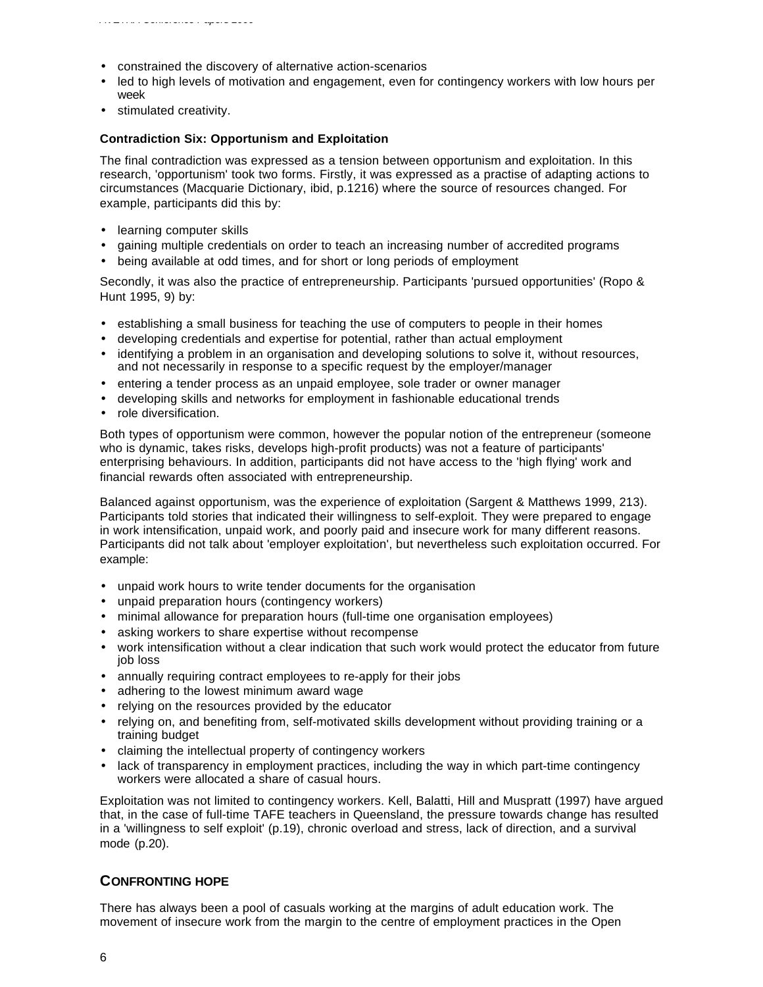- constrained the discovery of alternative action-scenarios
- led to high levels of motivation and engagement, even for contingency workers with low hours per week
- stimulated creativity.

#### **Contradiction Six: Opportunism and Exploitation**

The final contradiction was expressed as a tension between opportunism and exploitation. In this research, 'opportunism' took two forms. Firstly, it was expressed as a practise of adapting actions to circumstances (Macquarie Dictionary, ibid, p.1216) where the source of resources changed. For example, participants did this by:

- learning computer skills
- gaining multiple credentials on order to teach an increasing number of accredited programs
- being available at odd times, and for short or long periods of employment

Secondly, it was also the practice of entrepreneurship. Participants 'pursued opportunities' (Ropo & Hunt 1995, 9) by:

- establishing a small business for teaching the use of computers to people in their homes
- developing credentials and expertise for potential, rather than actual employment
- identifying a problem in an organisation and developing solutions to solve it, without resources, and not necessarily in response to a specific request by the employer/manager
- entering a tender process as an unpaid employee, sole trader or owner manager
- developing skills and networks for employment in fashionable educational trends
- role diversification.

Both types of opportunism were common, however the popular notion of the entrepreneur (someone who is dynamic, takes risks, develops high-profit products) was not a feature of participants' enterprising behaviours. In addition, participants did not have access to the 'high flying' work and financial rewards often associated with entrepreneurship.

Balanced against opportunism, was the experience of exploitation (Sargent & Matthews 1999, 213). Participants told stories that indicated their willingness to self-exploit. They were prepared to engage in work intensification, unpaid work, and poorly paid and insecure work for many different reasons. Participants did not talk about 'employer exploitation', but nevertheless such exploitation occurred. For example:

- unpaid work hours to write tender documents for the organisation
- unpaid preparation hours (contingency workers)
- minimal allowance for preparation hours (full-time one organisation employees)
- asking workers to share expertise without recompense
- work intensification without a clear indication that such work would protect the educator from future job loss
- annually requiring contract employees to re-apply for their jobs
- adhering to the lowest minimum award wage
- relying on the resources provided by the educator
- relying on, and benefiting from, self-motivated skills development without providing training or a training budget
- claiming the intellectual property of contingency workers
- lack of transparency in employment practices, including the way in which part-time contingency workers were allocated a share of casual hours.

Exploitation was not limited to contingency workers. Kell, Balatti, Hill and Muspratt (1997) have argued that, in the case of full-time TAFE teachers in Queensland, the pressure towards change has resulted in a 'willingness to self exploit' (p.19), chronic overload and stress, lack of direction, and a survival mode (p.20).

## **CONFRONTING HOPE**

There has always been a pool of casuals working at the margins of adult education work. The movement of insecure work from the margin to the centre of employment practices in the Open